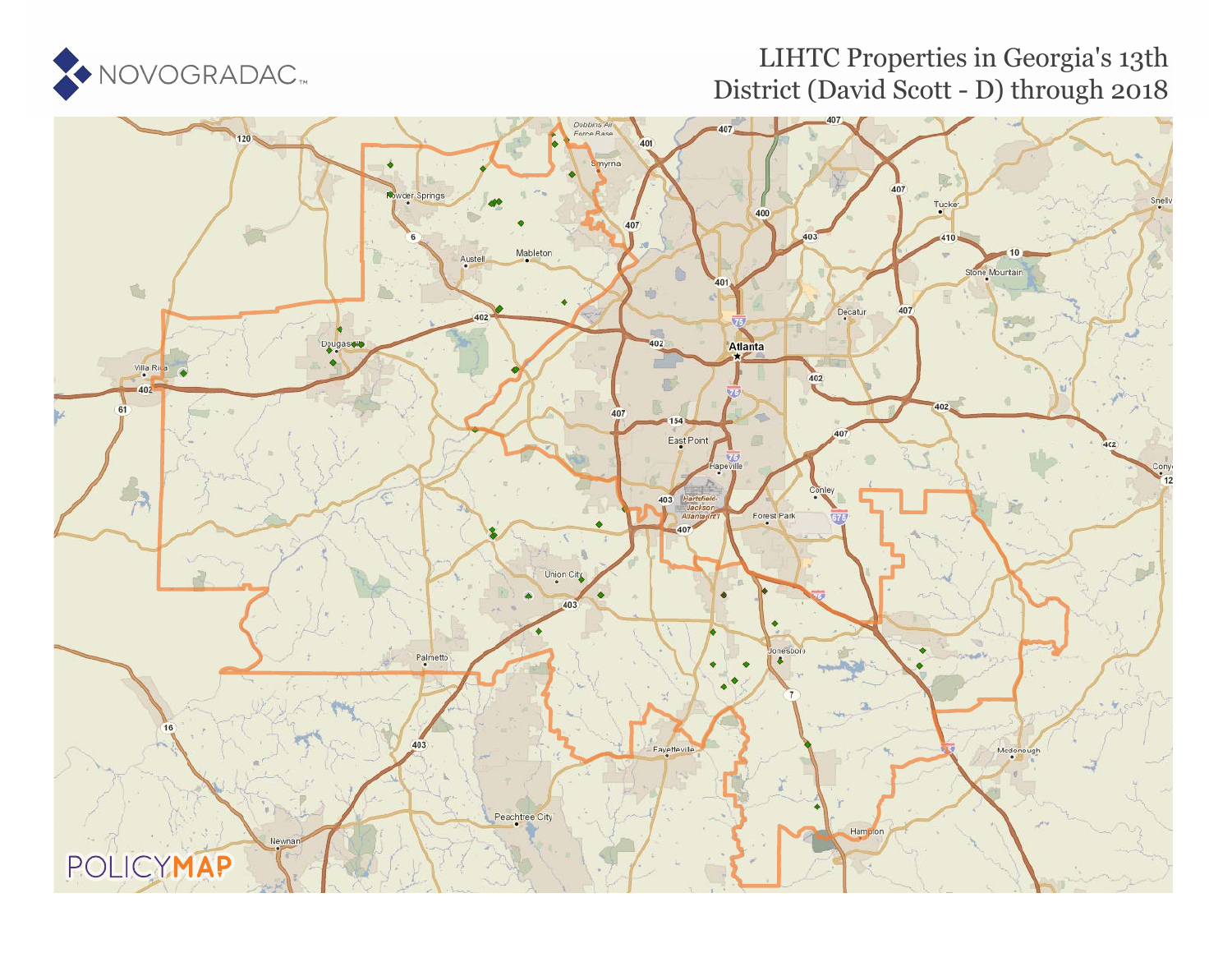

# LIHTC Properties in Georgia's 13th District (David Scott - D) through 2018

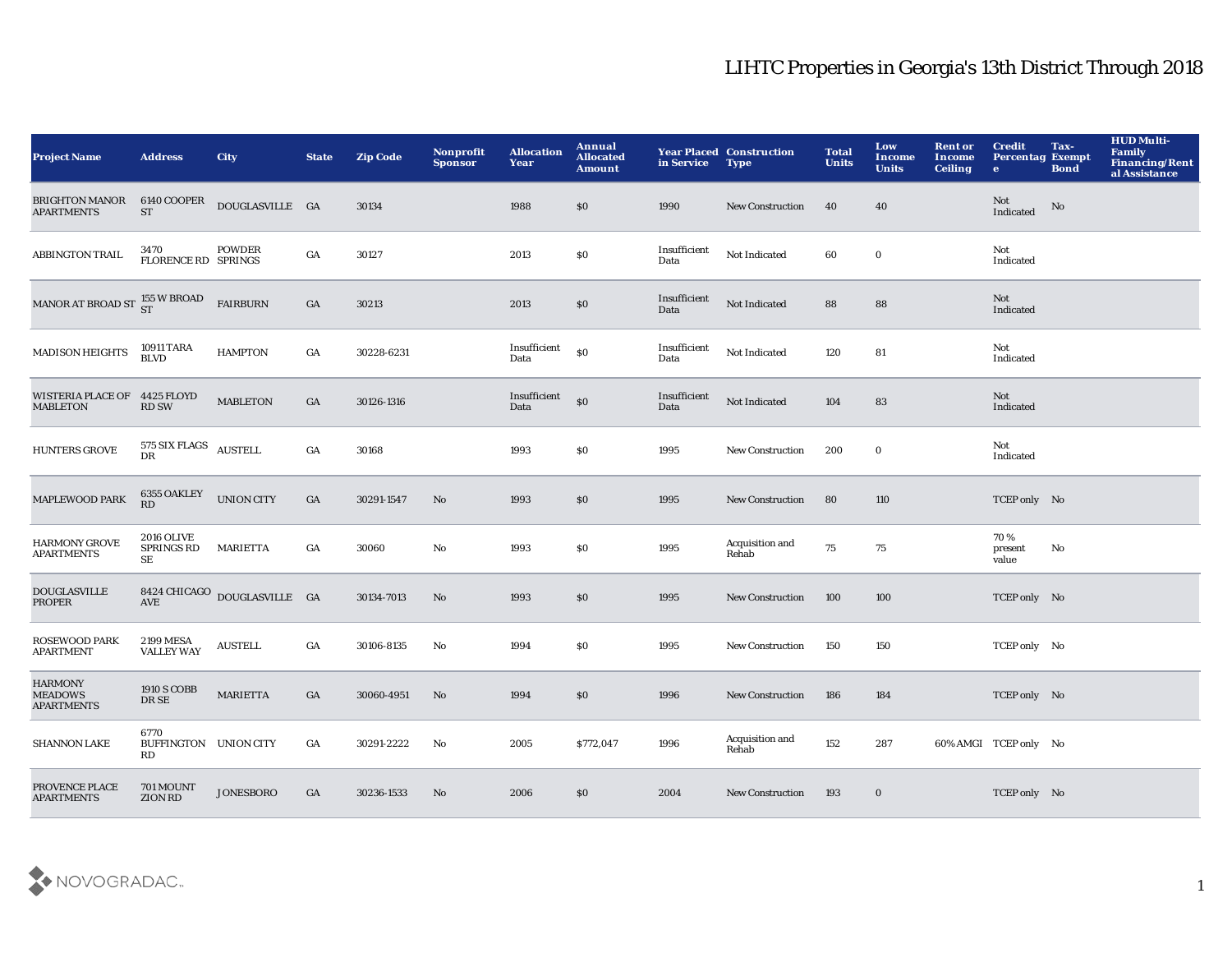| <b>Project Name</b>                                   | <b>Address</b>                               | <b>City</b>                              | <b>State</b>     | <b>Zip Code</b> | Nonprofit<br><b>Sponsor</b> | <b>Allocation</b><br>Year | Annual<br><b>Allocated</b><br><b>Amount</b> | in Service           | <b>Year Placed Construction</b><br><b>Type</b> | <b>Total</b><br><b>Units</b> | Low<br><b>Income</b><br><b>Units</b> | <b>Rent or</b><br><b>Income</b><br><b>Ceiling</b> | <b>Credit</b><br><b>Percentag Exempt</b><br>$\bullet$ | Tax-<br><b>Bond</b> | <b>HUD Multi-</b><br><b>Family</b><br><b>Financing/Rent</b><br>al Assistance |
|-------------------------------------------------------|----------------------------------------------|------------------------------------------|------------------|-----------------|-----------------------------|---------------------------|---------------------------------------------|----------------------|------------------------------------------------|------------------------------|--------------------------------------|---------------------------------------------------|-------------------------------------------------------|---------------------|------------------------------------------------------------------------------|
| <b>BRIGHTON MANOR</b><br><b>APARTMENTS</b>            | 6140 COOPER<br><b>ST</b>                     | DOUGLASVILLE GA                          |                  | 30134           |                             | 1988                      | \$0                                         | 1990                 | <b>New Construction</b>                        | 40                           | 40                                   |                                                   | Not<br>Indicated                                      | No                  |                                                                              |
| <b>ABBINGTON TRAIL</b>                                | 3470<br><b>FLORENCE RD SPRINGS</b>           | <b>POWDER</b>                            | GA               | 30127           |                             | 2013                      | $\$0$                                       | Insufficient<br>Data | Not Indicated                                  | 60                           | $\mathbf 0$                          |                                                   | Not<br>$\label{lem:indicated} \textbf{Indicated}$     |                     |                                                                              |
| MANOR AT BROAD ST $_{\rm ST}^{155}$ W BROAD           |                                              | <b>FAIRBURN</b>                          | GA               | 30213           |                             | 2013                      | \$0                                         | Insufficient<br>Data | Not Indicated                                  | 88                           | 88                                   |                                                   | Not<br>Indicated                                      |                     |                                                                              |
| <b>MADISON HEIGHTS</b>                                | 10911 TARA<br><b>BLVD</b>                    | <b>HAMPTON</b>                           | $_{\mathrm{GA}}$ | 30228-6231      |                             | Insufficient<br>Data      | $\$0$                                       | Insufficient<br>Data | Not Indicated                                  | 120                          | 81                                   |                                                   | Not<br>Indicated                                      |                     |                                                                              |
| WISTERIA PLACE OF 4425 FLOYD<br><b>MABLETON</b>       | <b>RD SW</b>                                 | <b>MABLETON</b>                          | GA               | 30126-1316      |                             | Insufficient<br>Data      | \$0                                         | Insufficient<br>Data | Not Indicated                                  | 104                          | 83                                   |                                                   | Not<br>Indicated                                      |                     |                                                                              |
| <b>HUNTERS GROVE</b>                                  | 575 SIX FLAGS AUSTELL<br>DR                  |                                          | GA               | 30168           |                             | 1993                      | \$0                                         | 1995                 | New Construction                               | 200                          | $\bf{0}$                             |                                                   | Not<br>Indicated                                      |                     |                                                                              |
| <b>MAPLEWOOD PARK</b>                                 | 6355 OAKLEY<br>RD                            | <b>UNION CITY</b>                        | GA               | 30291-1547      | $\mathbf{N}\mathbf{o}$      | 1993                      | \$0                                         | 1995                 | <b>New Construction</b>                        | 80                           | 110                                  |                                                   | TCEP only No                                          |                     |                                                                              |
| <b>HARMONY GROVE</b><br><b>APARTMENTS</b>             | <b>2016 OLIVE</b><br><b>SPRINGS RD</b><br>SE | <b>MARIETTA</b>                          | GA               | 30060           | No                          | 1993                      | \$0                                         | 1995                 | Acquisition and<br>Rehab                       | 75                           | 75                                   |                                                   | 70%<br>present<br>value                               | No                  |                                                                              |
| <b>DOUGLASVILLE</b><br>PROPER                         | <b>AVE</b>                                   | $8424$ CHICAGO $\,$ DOUGLASVILLE $\,$ GA |                  | 30134-7013      | $\mathbf{N}\mathbf{o}$      | 1993                      | \$0                                         | 1995                 | <b>New Construction</b>                        | 100                          | 100                                  |                                                   | TCEP only No                                          |                     |                                                                              |
| ROSEWOOD PARK<br><b>APARTMENT</b>                     | <b>2199 MESA</b><br><b>VALLEY WAY</b>        | <b>AUSTELL</b>                           | GA               | 30106-8135      | $\mathbf{No}$               | 1994                      | \$0                                         | 1995                 | <b>New Construction</b>                        | 150                          | 150                                  |                                                   | TCEP only No                                          |                     |                                                                              |
| <b>HARMONY</b><br><b>MEADOWS</b><br><b>APARTMENTS</b> | <b>1910 S COBB</b><br>DR SE                  | <b>MARIETTA</b>                          | GA               | 30060-4951      | $\mathbf{N}\mathbf{o}$      | 1994                      | \$0                                         | 1996                 | <b>New Construction</b>                        | 186                          | 184                                  |                                                   | TCEP only No                                          |                     |                                                                              |
| <b>SHANNON LAKE</b>                                   | 6770<br>BUFFINGTON UNION CITY<br>RD          |                                          | GA               | 30291-2222      | No                          | 2005                      | \$772,047                                   | 1996                 | Acquisition and<br>Rehab                       | 152                          | 287                                  |                                                   | 60% AMGI TCEP only No                                 |                     |                                                                              |
| PROVENCE PLACE<br><b>APARTMENTS</b>                   | 701 MOUNT<br><b>ZION RD</b>                  | <b>JONESBORO</b>                         | GA               | 30236-1533      | No                          | 2006                      | \$0                                         | 2004                 | <b>New Construction</b>                        | 193                          | $\bf{0}$                             |                                                   | TCEP only No                                          |                     |                                                                              |

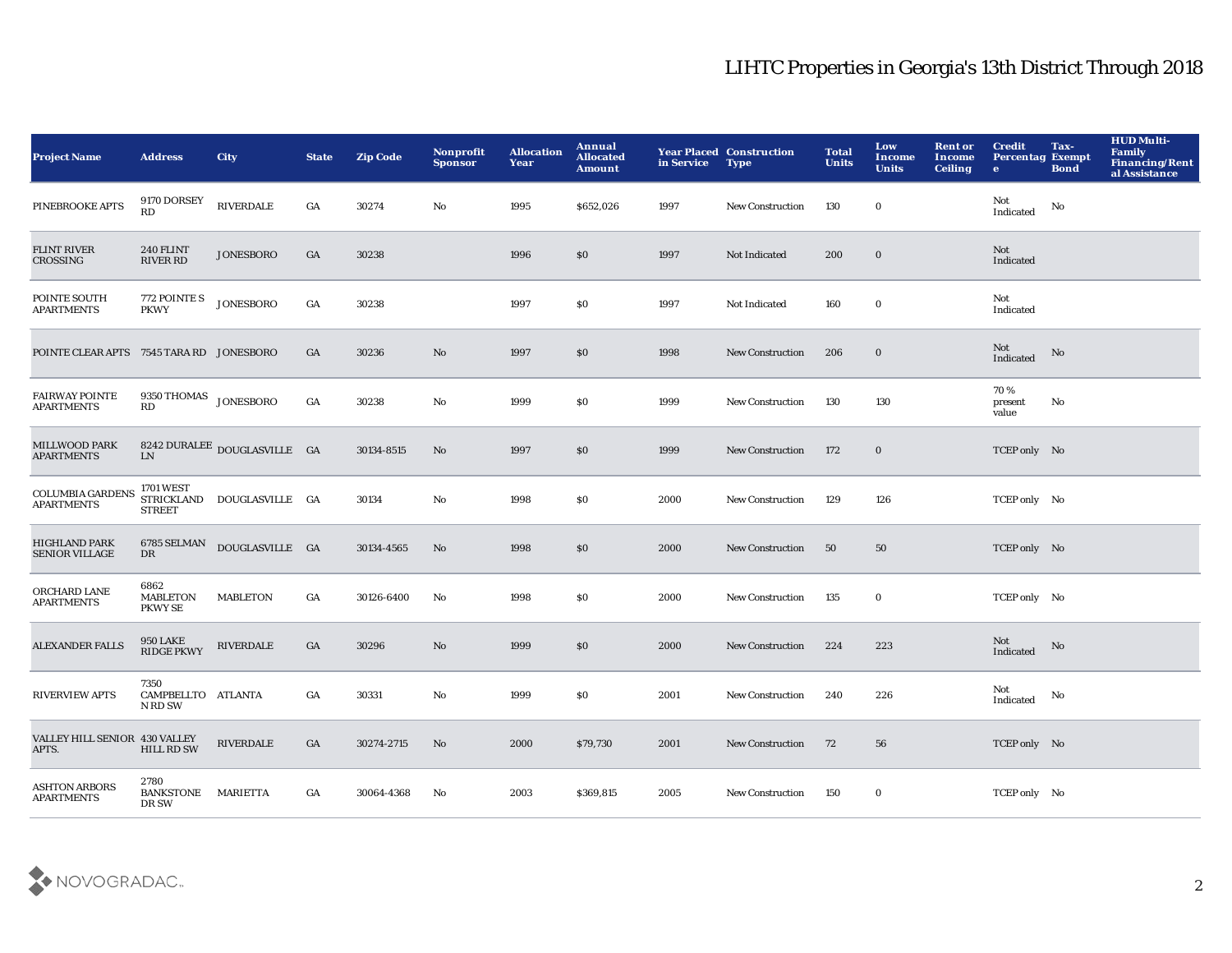| <b>Project Name</b>                           | <b>Address</b>                            | <b>City</b>                  | <b>State</b> | <b>Zip Code</b> | Nonprofit<br><b>Sponsor</b> | <b>Allocation</b><br>Year | <b>Annual</b><br><b>Allocated</b><br><b>Amount</b> | in Service | <b>Year Placed Construction</b><br><b>Type</b> | <b>Total</b><br><b>Units</b> | Low<br><b>Income</b><br><b>Units</b> | <b>Rent or</b><br><b>Income</b><br><b>Ceiling</b> | <b>Credit</b><br><b>Percentag Exempt</b><br>$\bullet$ | Tax-<br><b>Bond</b> | <b>HUD Multi-</b><br>Family<br><b>Financing/Rent</b><br>al Assistance |
|-----------------------------------------------|-------------------------------------------|------------------------------|--------------|-----------------|-----------------------------|---------------------------|----------------------------------------------------|------------|------------------------------------------------|------------------------------|--------------------------------------|---------------------------------------------------|-------------------------------------------------------|---------------------|-----------------------------------------------------------------------|
| PINEBROOKE APTS                               | 9170 DORSEY<br>RD                         | <b>RIVERDALE</b>             | GA           | 30274           | No                          | 1995                      | \$652,026                                          | 1997       | New Construction                               | 130                          | $\bf{0}$                             |                                                   | Not<br>Indicated                                      | No                  |                                                                       |
| <b>FLINT RIVER</b><br>CROSSING                | 240 FLINT<br><b>RIVER RD</b>              | <b>JONESBORO</b>             | GA           | 30238           |                             | 1996                      | \$0                                                | 1997       | Not Indicated                                  | 200                          | $\bf{0}$                             |                                                   | Not<br>Indicated                                      |                     |                                                                       |
| POINTE SOUTH<br><b>APARTMENTS</b>             | 772 POINTE S<br><b>PKWY</b>               | <b>JONESBORO</b>             | GA           | 30238           |                             | 1997                      | \$0                                                | 1997       | Not Indicated                                  | 160                          | $\mathbf 0$                          |                                                   | Not<br>Indicated                                      |                     |                                                                       |
| POINTE CLEAR APTS 7545 TARA RD JONESBORO      |                                           |                              | GA           | 30236           | No                          | 1997                      | \$0                                                | 1998       | <b>New Construction</b>                        | 206                          | $\bf{0}$                             |                                                   | Not<br>Indicated                                      | No                  |                                                                       |
| <b>FAIRWAY POINTE</b><br><b>APARTMENTS</b>    | $9350\,\mbox{THOMAS}$ JONESBORO<br>RD     |                              | GA           | 30238           | No                          | 1999                      | \$0                                                | 1999       | <b>New Construction</b>                        | 130                          | 130                                  |                                                   | 70%<br>present<br>value                               | No                  |                                                                       |
| MILLWOOD PARK<br><b>APARTMENTS</b>            | ${\rm LN}$                                | 8242 DURALEE DOUGLASVILLE GA |              | 30134-8515      | No                          | 1997                      | \$0                                                | 1999       | <b>New Construction</b>                        | 172                          | $\mathbf 0$                          |                                                   | TCEP only No                                          |                     |                                                                       |
| <b>COLUMBIA GARDENS</b><br><b>APARTMENTS</b>  | <b>1701 WEST</b><br><b>STREET</b>         | STRICKLAND DOUGLASVILLE GA   |              | 30134           | $\mathbf{No}$               | 1998                      | \$0                                                | 2000       | <b>New Construction</b>                        | 129                          | 126                                  |                                                   | TCEP only No                                          |                     |                                                                       |
| <b>HIGHLAND PARK</b><br><b>SENIOR VILLAGE</b> | 6785 SELMAN<br>DR                         | DOUGLASVILLE GA              |              | 30134-4565      | No                          | 1998                      | \$0                                                | 2000       | <b>New Construction</b>                        | 50                           | 50                                   |                                                   | TCEP only No                                          |                     |                                                                       |
| ORCHARD LANE<br><b>APARTMENTS</b>             | 6862<br><b>MABLETON</b><br><b>PKWY SE</b> | <b>MABLETON</b>              | GA           | 30126-6400      | No                          | 1998                      | \$0                                                | 2000       | <b>New Construction</b>                        | 135                          | $\bf{0}$                             |                                                   | TCEP only No                                          |                     |                                                                       |
| <b>ALEXANDER FALLS</b>                        | <b>950 LAKE</b><br><b>RIDGE PKWY</b>      | <b>RIVERDALE</b>             | GA           | 30296           | No                          | 1999                      | \$0                                                | 2000       | <b>New Construction</b>                        | 224                          | 223                                  |                                                   | Not<br>Indicated                                      | No                  |                                                                       |
| <b>RIVERVIEW APTS</b>                         | 7350<br>CAMPBELLTO ATLANTA<br>N RD SW     |                              | GA           | 30331           | No                          | 1999                      | \$0                                                | 2001       | <b>New Construction</b>                        | 240                          | 226                                  |                                                   | Not<br>Indicated                                      | No                  |                                                                       |
| VALLEY HILL SENIOR 430 VALLEY<br>APTS.        | <b>HILL RD SW</b>                         | <b>RIVERDALE</b>             | GA           | 30274-2715      | No                          | 2000                      | \$79,730                                           | 2001       | <b>New Construction</b>                        | 72                           | 56                                   |                                                   | TCEP only No                                          |                     |                                                                       |
| <b>ASHTON ARBORS</b><br><b>APARTMENTS</b>     | 2780<br><b>BANKSTONE</b><br>DR SW         | <b>MARIETTA</b>              | GA           | 30064-4368      | No                          | 2003                      | \$369,815                                          | 2005       | <b>New Construction</b>                        | 150                          | $\bf{0}$                             |                                                   | TCEP only No                                          |                     |                                                                       |

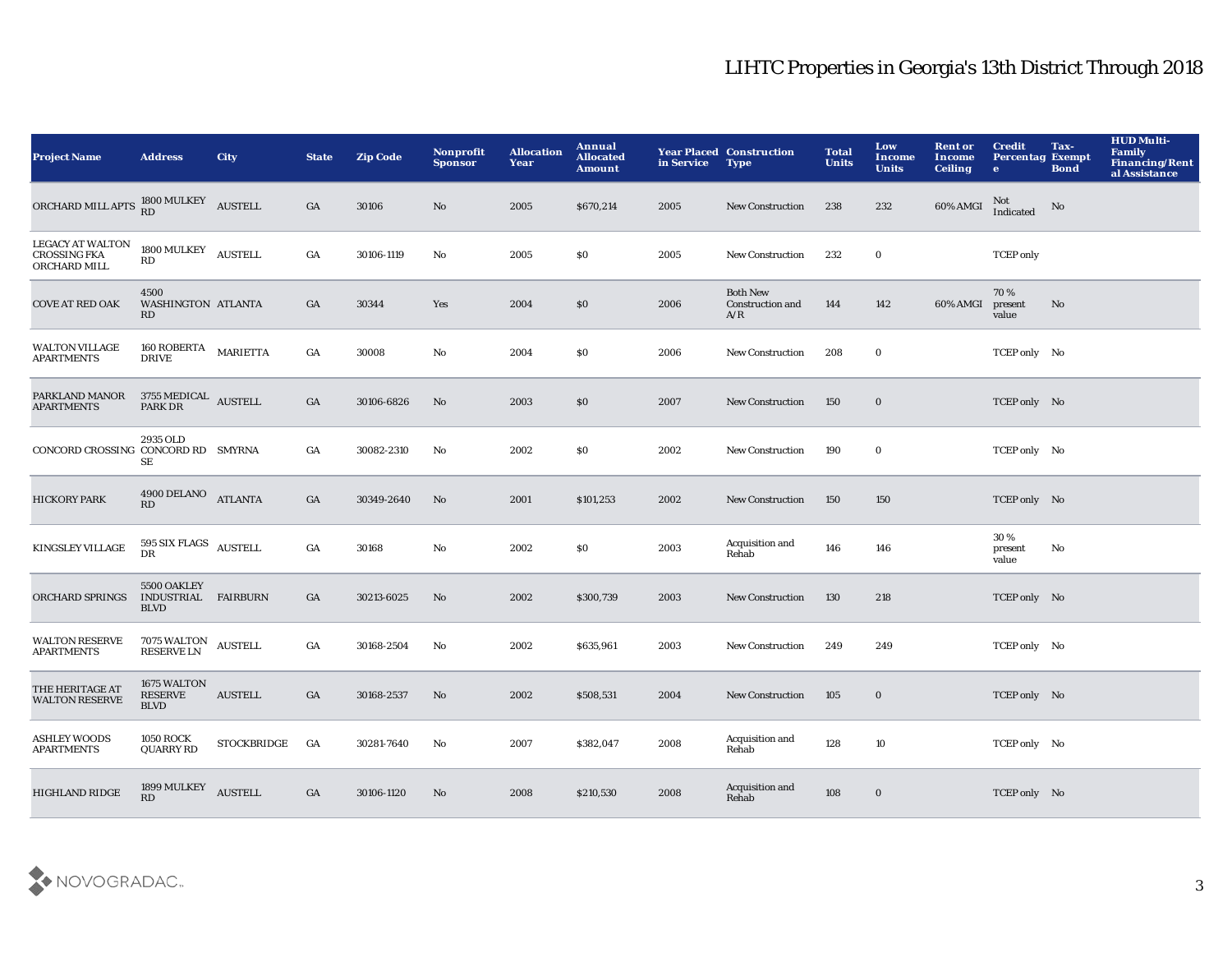| <b>Project Name</b>                                     | <b>Address</b>                                    | <b>City</b>        | <b>State</b>     | <b>Zip Code</b> | <b>Nonprofit</b><br><b>Sponsor</b> | <b>Allocation</b><br>Year | Annual<br><b>Allocated</b><br><b>Amount</b> | in Service | <b>Year Placed Construction</b><br><b>Type</b>    | <b>Total</b><br><b>Units</b> | Low<br>Income<br><b>Units</b> | <b>Rent or</b><br>Income<br><b>Ceiling</b> | <b>Credit</b><br><b>Percentag Exempt</b><br>$\bullet$ | Tax-<br><b>Bond</b> | <b>HUD Multi-</b><br><b>Family</b><br><b>Financing/Rent</b><br>al Assistance |
|---------------------------------------------------------|---------------------------------------------------|--------------------|------------------|-----------------|------------------------------------|---------------------------|---------------------------------------------|------------|---------------------------------------------------|------------------------------|-------------------------------|--------------------------------------------|-------------------------------------------------------|---------------------|------------------------------------------------------------------------------|
| ORCHARD MILL APTS RD MULKEY AUSTELL                     |                                                   |                    | GA               | 30106           | $\mathbf{N}\mathbf{o}$             | 2005                      | \$670,214                                   | 2005       | New Construction                                  | 238                          | 232                           | 60% AMGI                                   | Not<br>Indicated                                      | No                  |                                                                              |
| LEGACY AT WALTON<br><b>CROSSING FKA</b><br>ORCHARD MILL | $1800\,\mathrm{MULKEY}$ AUSTELL<br>RD             |                    | GA               | 30106-1119      | $\rm No$                           | 2005                      | \$0                                         | 2005       | New Construction                                  | 232                          | $\bf{0}$                      |                                            | <b>TCEP</b> only                                      |                     |                                                                              |
| <b>COVE AT RED OAK</b>                                  | 4500<br>WASHINGTON ATLANTA<br>RD                  |                    | GA               | 30344           | Yes                                | 2004                      | \$0                                         | 2006       | <b>Both New</b><br><b>Construction and</b><br>A/R | 144                          | 142                           | 60% AMGI                                   | 70 %<br>present<br>value                              | $\mathbf{No}$       |                                                                              |
| <b>WALTON VILLAGE</b><br><b>APARTMENTS</b>              | 160 ROBERTA<br><b>DRIVE</b>                       | <b>MARIETTA</b>    | $_{\mathrm{GA}}$ | 30008           | No                                 | 2004                      | \$0                                         | 2006       | New Construction                                  | 208                          | $\bf{0}$                      |                                            | TCEP only No                                          |                     |                                                                              |
| PARKLAND MANOR<br><b>APARTMENTS</b>                     | $3755\,\mathrm{MEDICAL}$ AUSTELL PARK DR          |                    | GA               | 30106-6826      | No                                 | 2003                      | \$0                                         | 2007       | <b>New Construction</b>                           | 150                          | $\bf{0}$                      |                                            | TCEP only No                                          |                     |                                                                              |
| CONCORD CROSSING CONCORD RD SMYRNA                      | 2935 OLD<br>SE                                    |                    | GA               | 30082-2310      | No                                 | 2002                      | \$0                                         | 2002       | <b>New Construction</b>                           | 190                          | $\bf{0}$                      |                                            | TCEP only No                                          |                     |                                                                              |
| <b>HICKORY PARK</b>                                     | 4900 DELANO ATLANTA<br>RD                         |                    | GA               | 30349-2640      | No                                 | 2001                      | \$101,253                                   | 2002       | <b>New Construction</b>                           | 150                          | 150                           |                                            | TCEP only No                                          |                     |                                                                              |
| KINGSLEY VILLAGE                                        | 595 SIX FLAGS AUSTELL<br>DR                       |                    | $_{\mathrm{GA}}$ | 30168           | $\rm No$                           | 2002                      | \$0                                         | 2003       | Acquisition and<br>Rehab                          | 146                          | 146                           |                                            | 30%<br>present<br>value                               | No                  |                                                                              |
| ORCHARD SPRINGS                                         | 5500 OAKLEY<br>INDUSTRIAL FAIRBURN<br><b>BLVD</b> |                    | GA               | 30213-6025      | No                                 | 2002                      | \$300,739                                   | 2003       | <b>New Construction</b>                           | 130                          | 218                           |                                            | TCEP only No                                          |                     |                                                                              |
| <b>WALTON RESERVE</b><br><b>APARTMENTS</b>              | 7075 WALTON<br>RESERVE LN                         | <b>AUSTELL</b>     | GA               | 30168-2504      | No                                 | 2002                      | \$635,961                                   | 2003       | New Construction                                  | 249                          | 249                           |                                            | TCEP only No                                          |                     |                                                                              |
| THE HERITAGE AT<br><b>WALTON RESERVE</b>                | 1675 WALTON<br><b>RESERVE</b><br><b>BLVD</b>      | <b>AUSTELL</b>     | GA               | 30168-2537      | No                                 | 2002                      | \$508,531                                   | 2004       | <b>New Construction</b>                           | 105                          | $\mathbf 0$                   |                                            | TCEP only No                                          |                     |                                                                              |
| <b>ASHLEY WOODS</b><br><b>APARTMENTS</b>                | <b>1050 ROCK</b><br><b>QUARRY RD</b>              | <b>STOCKBRIDGE</b> | GA               | 30281-7640      | No                                 | 2007                      | \$382,047                                   | 2008       | Acquisition and<br>Rehab                          | 128                          | 10                            |                                            | TCEP only No                                          |                     |                                                                              |
| <b>HIGHLAND RIDGE</b>                                   | 1899 MULKEY<br><b>RD</b>                          | <b>AUSTELL</b>     | GA               | 30106-1120      | No                                 | 2008                      | \$210,530                                   | 2008       | Acquisition and<br>Rehab                          | 108                          | $\bf{0}$                      |                                            | TCEP only No                                          |                     |                                                                              |

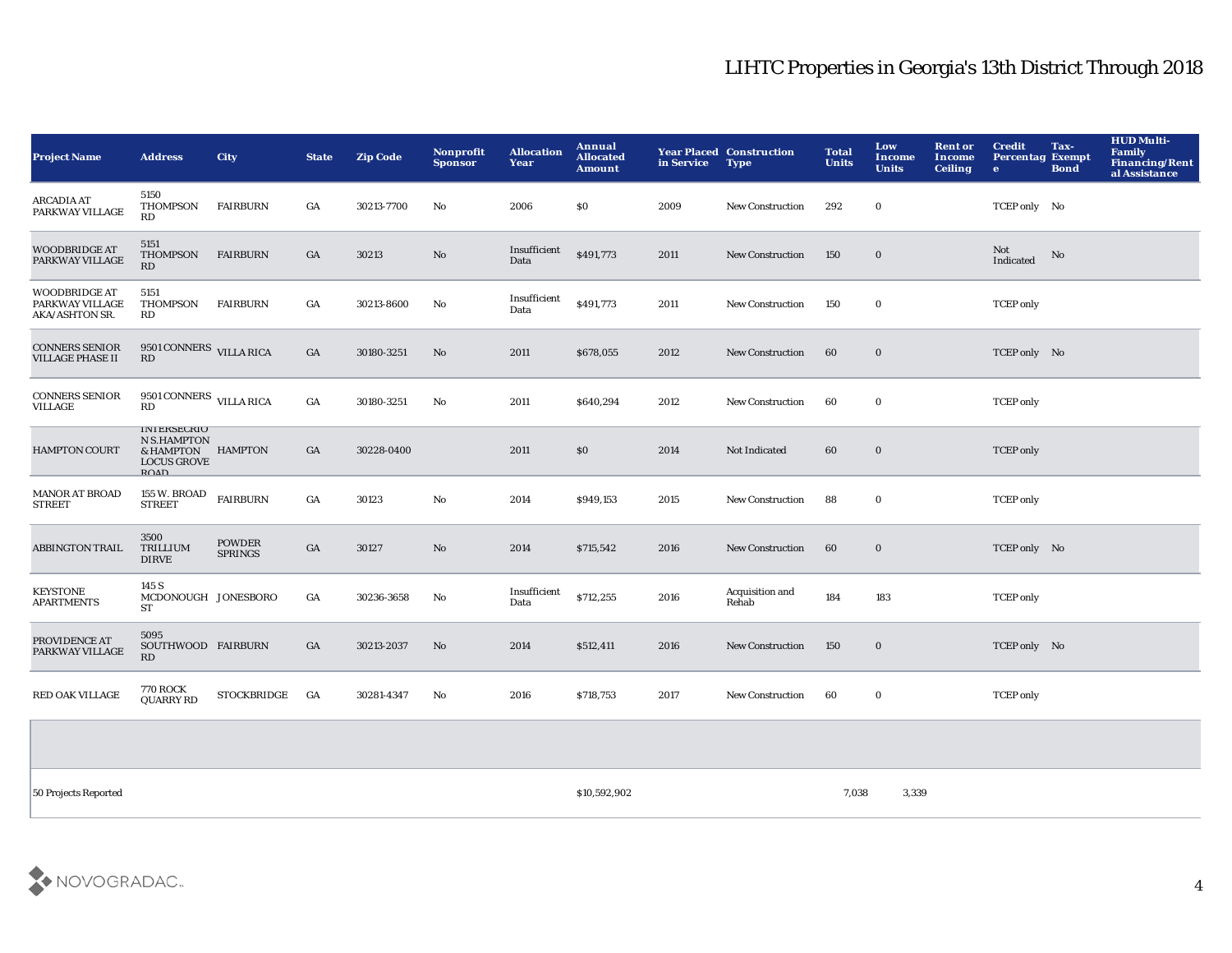| <b>Project Name</b>                                       | <b>Address</b>                                                                                     | City                            | <b>State</b> | <b>Zip Code</b> | <b>Nonprofit</b><br><b>Sponsor</b> | <b>Allocation</b><br>Year | Annual<br><b>Allocated</b><br><b>Amount</b> | in Service Type | <b>Year Placed Construction</b> | <b>Total</b><br><b>Units</b> | Low<br><b>Income</b><br><b>Units</b> | <b>Rent or</b><br><b>Income</b><br><b>Ceiling</b> | <b>Credit</b><br><b>Percentag Exempt</b><br>e | Tax-<br><b>Bond</b> | <b>HUD Multi-</b><br>Family<br>Financing/Rent<br>al Assistance |
|-----------------------------------------------------------|----------------------------------------------------------------------------------------------------|---------------------------------|--------------|-----------------|------------------------------------|---------------------------|---------------------------------------------|-----------------|---------------------------------|------------------------------|--------------------------------------|---------------------------------------------------|-----------------------------------------------|---------------------|----------------------------------------------------------------|
| <b>ARCADIA AT</b><br>PARKWAY VILLAGE                      | 5150<br>THOMPSON<br>RD                                                                             | <b>FAIRBURN</b>                 | GA           | 30213-7700      | No                                 | 2006                      | S <sub>0</sub>                              | 2009            | <b>New Construction</b>         | 292                          | $\bf{0}$                             |                                                   | TCEP only No                                  |                     |                                                                |
| <b>WOODBRIDGE AT</b><br>PARKWAY VILLAGE                   | 5151<br><b>THOMPSON</b><br>RD                                                                      | <b>FAIRBURN</b>                 | GA           | 30213           | No                                 | Insufficient<br>Data      | \$491,773                                   | 2011            | <b>New Construction</b>         | 150                          | $\bf{0}$                             |                                                   | Not<br>Indicated                              | No                  |                                                                |
| <b>WOODBRIDGE AT</b><br>PARKWAY VILLAGE<br>AKA/ASHTON SR. | 5151<br><b>THOMPSON</b><br>RD                                                                      | <b>FAIRBURN</b>                 | GA           | 30213-8600      | No                                 | Insufficient<br>Data      | \$491,773                                   | 2011            | <b>New Construction</b>         | 150                          | $\bf{0}$                             |                                                   | <b>TCEP</b> only                              |                     |                                                                |
| <b>CONNERS SENIOR</b><br><b>VILLAGE PHASE II</b>          | 9501 CONNERS VILLA RICA<br>RD                                                                      |                                 | GA           | 30180-3251      | No                                 | 2011                      | \$678,055                                   | 2012            | <b>New Construction</b>         | 60                           | $\bf{0}$                             |                                                   | TCEP only No                                  |                     |                                                                |
| <b>CONNERS SENIOR</b><br>VILLAGE                          | 9501 CONNERS VILLA RICA<br>RD                                                                      |                                 | GA           | 30180-3251      | No                                 | 2011                      | \$640,294                                   | 2012            | <b>New Construction</b>         | 60                           | $\bf{0}$                             |                                                   | <b>TCEP</b> only                              |                     |                                                                |
| <b>HAMPTON COURT</b>                                      | <b>INTERSECRIO</b><br><b>N S.HAMPTON</b><br>& HAMPTON HAMPTON<br><b>LOCUS GROVE</b><br><b>ROAD</b> |                                 | GA           | 30228-0400      |                                    | 2011                      | \$0                                         | 2014            | Not Indicated                   | 60                           | $\bf{0}$                             |                                                   | <b>TCEP</b> only                              |                     |                                                                |
| <b>MANOR AT BROAD</b><br><b>STREET</b>                    | 155 W. BROAD<br><b>STREET</b>                                                                      | <b>FAIRBURN</b>                 | GA           | 30123           | No                                 | 2014                      | \$949,153                                   | 2015            | New Construction                | 88                           | $\bf{0}$                             |                                                   | <b>TCEP</b> only                              |                     |                                                                |
| <b>ABBINGTON TRAIL</b>                                    | 3500<br>TRILLIUM<br><b>DIRVE</b>                                                                   | <b>POWDER</b><br><b>SPRINGS</b> | GA           | 30127           | $\mathbf{No}$                      | 2014                      | \$715,542                                   | 2016            | New Construction                | 60                           | $\bf{0}$                             |                                                   | TCEP only No                                  |                     |                                                                |
| <b>KEYSTONE</b><br><b>APARTMENTS</b>                      | 145 S<br>MCDONOUGH JONESBORO<br>ST                                                                 |                                 | GA           | 30236-3658      | No                                 | Insufficient<br>Data      | \$712,255                                   | 2016            | Acquisition and<br>Rehab        | 184                          | 183                                  |                                                   | <b>TCEP</b> only                              |                     |                                                                |
| PROVIDENCE AT<br>PARKWAY VILLAGE                          | 5095<br>SOUTHWOOD FAIRBURN<br>RD                                                                   |                                 | GA           | 30213-2037      | No                                 | 2014                      | \$512,411                                   | 2016            | New Construction                | 150                          | $\bf{0}$                             |                                                   | TCEP only No                                  |                     |                                                                |
| <b>RED OAK VILLAGE</b>                                    | <b>770 ROCK</b><br><b>QUARRY RD</b>                                                                | <b>STOCKBRIDGE</b>              | GA           | 30281-4347      | No                                 | 2016                      | \$718,753                                   | 2017            | <b>New Construction</b>         | 60                           | $\bf{0}$                             |                                                   | <b>TCEP</b> only                              |                     |                                                                |
|                                                           |                                                                                                    |                                 |              |                 |                                    |                           |                                             |                 |                                 |                              |                                      |                                                   |                                               |                     |                                                                |
|                                                           |                                                                                                    |                                 |              |                 |                                    |                           |                                             |                 |                                 |                              |                                      |                                                   |                                               |                     |                                                                |